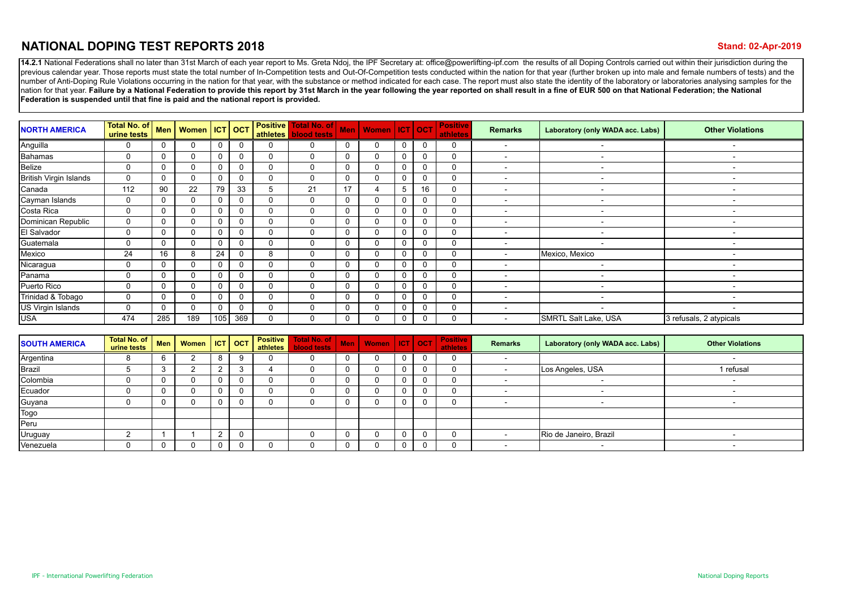## **NATIONAL DOPING TEST REPORTS 2018**

14.2.1 National Federations shall no later than 31st March of each year report to Ms. Greta Ndoj, the IPF Secretary at: office@powerlifting-ipf.com the results of all Doping Controls carried out within their jurisdiction d previous calendar year. Those reports must state the total number of In-Competition tests and Out-Of-Competition tests conducted within the nation for that year (further broken up into male and female numbers of tests) and Inumber of Anti-Doping Rule Violations occurring in the nation for that year, with the substance or method indicated for each case. The report must also state the identity of the laboratory or laboratories analysing sample nation for that year. Failure by a National Federation to provide this report by 31st March in the year following the year reported on shall result in a fine of EUR 500 on that National Federation; the National **Federation is suspended until that fine is paid and the national report is provided.**

| <b>NORTH AMERICA</b>          | Total No. of<br>urine tests |              | Men   Women   ICT   OCT |          |          |   | <b>Positive Total No. of</b><br>athletes   blood tests |              | Men   Women   ICT   OCT |              | <b>Positive</b><br><b>athletes</b> | <b>Remarks</b>           | Laboratory (only WADA acc. Labs) | <b>Other Violations</b> |
|-------------------------------|-----------------------------|--------------|-------------------------|----------|----------|---|--------------------------------------------------------|--------------|-------------------------|--------------|------------------------------------|--------------------------|----------------------------------|-------------------------|
| Anguilla                      | 0                           | 0            | 0                       | 0        |          |   | 0                                                      | 0            | 0                       | 0            | 0                                  |                          |                                  |                         |
| Bahamas                       | 0                           | $\Omega$     | 0                       | $\Omega$ |          |   | $\mathbf{0}$                                           | $\mathbf 0$  | 0                       | 0            | 0                                  | $\overline{\phantom{a}}$ |                                  |                         |
| Belize                        | $\mathbf 0$                 | $\mathbf{0}$ | 0                       | $\Omega$ |          |   | 0                                                      | $\mathbf 0$  | 0                       | 0            |                                    | $\sim$                   |                                  |                         |
| <b>British Virgin Islands</b> | $\mathbf 0$                 | $\mathbf{0}$ | 0                       | $\Omega$ |          |   |                                                        | $\mathbf{0}$ | 0                       | $\mathbf{0}$ |                                    | $\overline{\phantom{0}}$ |                                  |                         |
| Canada                        | 112                         | 90           | 22                      | 79       | 33       | 5 | 21                                                     | 17           | 4                       | 16           |                                    |                          |                                  |                         |
| Cayman Islands                | $\mathbf 0$                 | $\mathbf{0}$ | 0                       | $\Omega$ |          |   | $\Omega$                                               | $\mathbf{0}$ | 0                       | $\Omega$     |                                    | $\sim$                   | $\overline{a}$                   |                         |
| Costa Rica                    | $\mathbf 0$                 | $\mathbf{0}$ | 0                       | $\Omega$ |          |   | 0                                                      | $\mathbf{0}$ | 0                       | $\Omega$     |                                    | $\sim$                   |                                  |                         |
| Dominican Republic            | $\mathbf 0$                 | $\Omega$     | 0                       | $\Omega$ | $\Omega$ | ∩ | $\Omega$                                               | $\mathbf 0$  | 0                       | $\mathbf 0$  |                                    | $\overline{\phantom{0}}$ | $\overline{a}$                   |                         |
| El Salvador                   | $\mathbf 0$                 | $\Omega$     | 0                       | $\Omega$ | $\Omega$ | ∩ | $\Omega$                                               | $\mathbf 0$  | 0                       | $\mathbf 0$  |                                    | $\sim$                   |                                  |                         |
| Guatemala                     | $\mathbf 0$                 | $\Omega$     | 0                       | $\Omega$ | $\Omega$ |   | $\Omega$                                               | $\Omega$     | 0                       | $\Omega$     |                                    | $\overline{\phantom{0}}$ |                                  |                         |
| Mexico                        | 24                          | 16           | 8                       | 24       | $\Omega$ | 8 | $\Omega$                                               | $\Omega$     | 0                       | $\Omega$     |                                    |                          | Mexico, Mexico                   |                         |
| Nicaragua                     | 0                           | $\Omega$     | 0                       | $\Omega$ |          |   | $\Omega$                                               | $\Omega$     | 0                       | $\Omega$     |                                    |                          |                                  |                         |
| Panama                        | $\Omega$                    | $\Omega$     |                         | $\Omega$ |          |   | <sup>0</sup>                                           | $\Omega$     | 0                       | $\Omega$     |                                    | $\overline{\phantom{0}}$ | $\overline{\phantom{0}}$         |                         |
| Puerto Rico                   | 0                           | $\Omega$     | 0                       | $\Omega$ |          |   | $\Omega$                                               | $\Omega$     | 0                       | $\Omega$     |                                    | $\overline{\phantom{0}}$ |                                  |                         |
| Trinidad & Tobago             | 0                           | $\Omega$     | U                       | $\Omega$ | $\Omega$ |   | $\Omega$                                               | $\Omega$     | 0                       | $\Omega$     | $\Omega$                           | $\overline{\phantom{0}}$ |                                  |                         |
| US Virgin Islands             | 0                           | $\Omega$     | U                       | $\Omega$ |          |   | $\Omega$                                               | $\Omega$     | 0                       | $\Omega$     |                                    | $\overline{\phantom{0}}$ |                                  |                         |
| <b>USA</b>                    | 474                         | 285          | 189                     | 105      | 369      |   | $\Omega$                                               | $\Omega$     | 0                       |              |                                    | $\overline{\phantom{0}}$ | SMRTL Salt Lake, USA             | 3 refusals, 2 atypicals |

| <b>SOUTH AMERICA</b> | Total No. of<br>urine tests | Men   Women |              | $ $ ICT $ $ OCT $ $ | <b>Positive</b> | Total No. of<br>athletes   blood tests | Men   Women   ICT   OCT   I |          | <b>Positive</b><br>athletes | <b>Remarks</b> | Laboratory (only WADA acc. Labs) | <b>Other Violations</b> |
|----------------------|-----------------------------|-------------|--------------|---------------------|-----------------|----------------------------------------|-----------------------------|----------|-----------------------------|----------------|----------------------------------|-------------------------|
| Argentina            |                             |             | o            |                     |                 |                                        |                             | 0        |                             |                |                                  |                         |
| <b>Brazil</b>        |                             |             |              |                     |                 |                                        |                             | 0        |                             |                | Los Angeles, USA                 | 1 refusal               |
| Colombia             |                             |             | <sup>0</sup> |                     |                 |                                        |                             | 0        |                             |                |                                  |                         |
| Ecuador              |                             |             | <sup>0</sup> |                     |                 |                                        |                             | 0        |                             |                |                                  |                         |
| Guyana               |                             |             |              |                     |                 |                                        |                             | $\Omega$ |                             |                |                                  |                         |
| <b>Togo</b>          |                             |             |              |                     |                 |                                        |                             |          |                             |                |                                  |                         |
| Peru                 |                             |             |              |                     |                 |                                        |                             |          |                             |                |                                  |                         |
| Uruguay              |                             |             |              |                     |                 |                                        |                             | 0        |                             |                | Rio de Janeiro, Brazil           |                         |
| Venezuela            |                             |             | 0            |                     |                 |                                        |                             | $\Omega$ |                             |                |                                  |                         |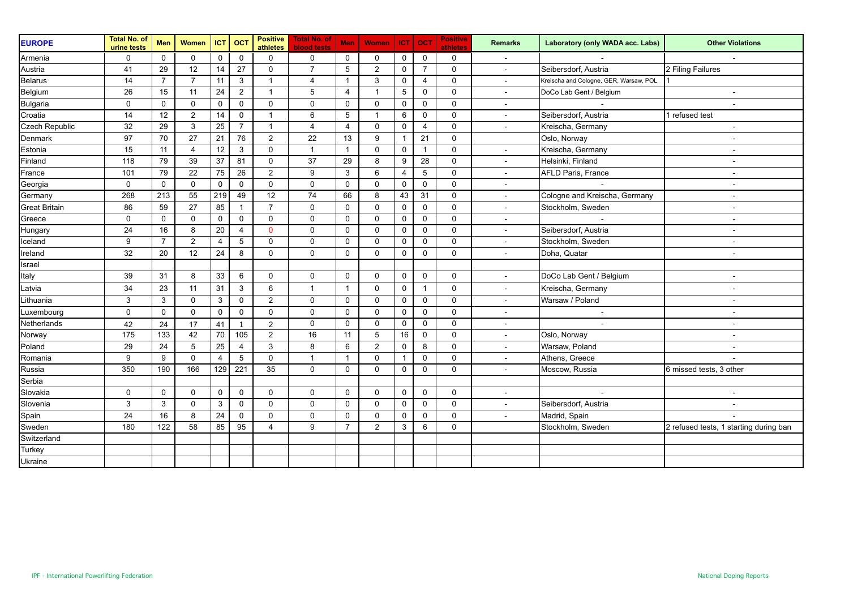| <b>EUROPE</b>        | <b>Total No. of</b><br>urine tests | Men            | <b>Women</b>     | <b>ICT</b>  | <b>OCT</b>     | athletes       | Positive   Total No. of<br><b>blood tests</b> | <b>Men</b>     | <b>Women</b>   | CT          | <b>OCT</b>     | <b>Positive</b><br>athletes | <b>Remarks</b>           | Laboratory (only WADA acc. Labs)       | <b>Other Violations</b>                |
|----------------------|------------------------------------|----------------|------------------|-------------|----------------|----------------|-----------------------------------------------|----------------|----------------|-------------|----------------|-----------------------------|--------------------------|----------------------------------------|----------------------------------------|
| Armenia              | $\mathbf 0$                        | $\mathbf 0$    | $\mathbf 0$      | 0           | $\mathbf 0$    | $\mathbf 0$    | $\mathbf 0$                                   | $\mathbf 0$    | 0              | 0           | $\mathbf 0$    | $\mathbf 0$                 |                          |                                        |                                        |
| Austria              | 41                                 | 29             | 12               | 14          | 27             | $\mathbf{0}$   | $\overline{7}$                                | 5              | $\overline{2}$ | 0           | $\overline{7}$ | $\Omega$                    |                          | Seibersdorf, Austria                   | 2 Filing Failures                      |
| Belarus              | 14                                 | $\overline{7}$ | $\overline{7}$   | 11          | 3              | $\overline{1}$ | $\overline{4}$                                | $\mathbf{1}$   | 3              | 0           | $\overline{4}$ | $\mathbf{0}$                |                          | Kreischa and Cologne, GER, Warsaw, POL |                                        |
| Belgium              | 26                                 | 15             | 11               | 24          | $\overline{2}$ | $\overline{1}$ | 5                                             | $\overline{4}$ | $\mathbf{1}$   | 5           | $\mathbf 0$    | $\mathbf 0$                 | $\sim$                   | DoCo Lab Gent / Belgium                |                                        |
| Bulgaria             | $\mathbf 0$                        | $\mathsf{O}$   | $\mathbf 0$      | $\mathbf 0$ | $\mathbf 0$    | $\mathbf 0$    | $\mathbf 0$                                   | $\mathbf 0$    | 0              | 0           | $\mathbf 0$    | $\Omega$                    |                          |                                        |                                        |
| Croatia              | 14                                 | 12             | $\overline{2}$   | 14          | 0              | $\overline{1}$ | 6                                             | 5              | $\mathbf{1}$   | 6           | $\mathbf 0$    | $\Omega$                    |                          | Seibersdorf, Austria                   | refused test                           |
| Czech Republic       | 32                                 | 29             | 3                | 25          | $\overline{7}$ | $\overline{1}$ | $\overline{4}$                                | $\overline{4}$ | 0              | 0           | $\overline{4}$ | $\Omega$                    |                          | Kreischa, Germany                      |                                        |
| Denmark              | 97                                 | 70             | 27               | 21          | 76             | $\overline{2}$ | 22                                            | 13             | 9              | $\mathbf 1$ | 21             | $\mathbf 0$                 |                          | Oslo, Norway                           |                                        |
| Estonia              | 15                                 | 11             | $\overline{4}$   | 12          | 3              | $\mathbf 0$    | $\mathbf{1}$                                  | $\mathbf{1}$   | 0              | 0           | $\mathbf{1}$   | $\mathbf 0$                 |                          | Kreischa, Germany                      |                                        |
| Finland              | 118                                | 79             | 39               | 37          | 81             | $\mathbf 0$    | 37                                            | 29             | 8              | 9           | 28             | $\Omega$                    | $\sim$                   | Helsinki, Finland                      | $\sim$                                 |
| France               | 101                                | 79             | 22               | 75          | 26             | $\overline{2}$ | 9                                             | 3              | 6              | 4           | 5              | $\mathbf 0$                 | $\sim$                   | <b>AFLD Paris, France</b>              |                                        |
| Georgia              | $\mathbf 0$                        | $\mathbf 0$    | $\mathbf 0$      | $\mathbf 0$ | $\Omega$       | $\mathbf 0$    | $\mathbf 0$                                   | $\mathbf 0$    | $\mathbf 0$    | 0           | $\mathbf 0$    | $\Omega$                    | $\sim$                   |                                        |                                        |
| Germany              | 268                                | 213            | 55               | 219         | 49             | 12             | 74                                            | 66             | 8              | 43          | 31             | $\mathbf 0$                 | $\sim$                   | Cologne and Kreischa, Germany          |                                        |
| <b>Great Britain</b> | 86                                 | 59             | 27               | 85          | $\mathbf{1}$   | $\overline{7}$ | $\Omega$                                      | $\mathbf 0$    | 0              | $\mathbf 0$ | $\mathbf 0$    | $\Omega$                    | $\sim$                   | Stockholm, Sweden                      |                                        |
| Greece               | $\mathbf 0$                        | $\mathbf{0}$   | $\mathbf 0$      | 0           | $\mathbf{0}$   | $\mathbf 0$    | $\mathbf 0$                                   | $\mathbf 0$    | 0              | 0           | $\mathbf 0$    | $\Omega$                    | $\sim$                   |                                        |                                        |
| Hungary              | 24                                 | 16             | 8                | 20          | 4              | $\mathbf{0}$   | $\mathbf 0$                                   | $\mathbf 0$    | 0              | 0           | 0              | 0                           | $\overline{\phantom{a}}$ | Seibersdorf, Austria                   | $\sim$                                 |
| Iceland              | 9                                  | $\overline{7}$ | $\boldsymbol{2}$ | 4           | 5              | $\mathbf 0$    | $\mathbf 0$                                   | $\mathbf 0$    | 0              | 0           | $\mathsf 0$    | $\mathbf 0$                 | $\overline{\phantom{a}}$ | Stockholm, Sweden                      | $\overline{\phantom{a}}$               |
| Ireland              | 32                                 | 20             | 12               | 24          | 8              | $\mathbf 0$    | $\Omega$                                      | $\mathbf 0$    | $\mathbf 0$    | 0           | $\mathbf 0$    | $\Omega$                    | $\overline{\phantom{a}}$ | Doha, Quatar                           |                                        |
| Israel               |                                    |                |                  |             |                |                |                                               |                |                |             |                |                             |                          |                                        |                                        |
| Italy                | 39                                 | 31             | 8                | 33          | 6              | $\mathbf 0$    | $\mathbf 0$                                   | $\mathbf 0$    | 0              | 0           | $\mathbf 0$    | $\mathbf 0$                 |                          | DoCo Lab Gent / Belgium                |                                        |
| Latvia               | 34                                 | 23             | 11               | 31          | $\mathbf{3}$   | 6              | $\mathbf{1}$                                  | $\mathbf{1}$   | $\mathsf{O}$   | 0           | $\mathbf 1$    | $\mathbf 0$                 | $\overline{\phantom{a}}$ | Kreischa, Germany                      |                                        |
| Lithuania            | 3                                  | 3              | $\mathbf 0$      | 3           | 0              | $\overline{2}$ | $\mathbf 0$                                   | $\mathbf 0$    | 0              | 0           | $\mathbf 0$    | $\mathbf 0$                 | $\sim$                   | Warsaw / Poland                        |                                        |
| Luxembourg           | $\mathbf 0$                        | $\mathbf 0$    | $\mathbf 0$      | $\mathbf 0$ | $\Omega$       | $\mathbf 0$    | $\Omega$                                      | $\mathbf 0$    | $\mathbf 0$    | $\mathbf 0$ | $\mathbf 0$    | $\Omega$                    | $\sim$                   | $\sim$                                 |                                        |
| Netherlands          | 42                                 | 24             | 17               | 41          | $\mathbf{1}$   | 2              | $\mathbf 0$                                   | $\mathbf 0$    | 0              | 0           | $\mathbf 0$    | $\Omega$                    | $\sim$                   |                                        |                                        |
| Norway               | 175                                | 133            | 42               | 70          | 105            | $\overline{2}$ | 16                                            | 11             | 5              | 16          | $\mathbf 0$    | $\mathbf 0$                 | $\sim$                   | Oslo, Norway                           |                                        |
| Poland               | 29                                 | 24             | 5                | 25          | $\overline{4}$ | 3              | 8                                             | 6              | $\overline{2}$ | 0           | 8              | $\Omega$                    | $\sim$                   | Warsaw, Poland                         |                                        |
| Romania              | 9                                  | 9              | $\mathbf 0$      | 4           | 5              | $\mathbf 0$    | $\mathbf{1}$                                  | $\mathbf{1}$   | 0              | -1          | $\mathbf 0$    | $\Omega$                    | $\sim$                   | Athens, Greece                         |                                        |
| Russia               | 350                                | 190            | 166              | 129         | 221            | 35             | $\mathbf 0$                                   | $\mathbf 0$    | 0              | 0           | $\mathbf 0$    | $\Omega$                    | $\overline{\phantom{a}}$ | Moscow, Russia                         | 6 missed tests, 3 other                |
| Serbia               |                                    |                |                  |             |                |                |                                               |                |                |             |                |                             |                          |                                        |                                        |
| Slovakia             | $\pmb{0}$                          | $\mathbf 0$    | 0                | $\mathbf 0$ | $\mathbf 0$    | $\mathbf 0$    | $\Omega$                                      | $\mathbf 0$    | 0              | 0           | $\mathbf 0$    | $\Omega$                    | $\sim$                   |                                        |                                        |
| Slovenia             | 3                                  | 3              | $\mathbf 0$      | 3           | $\mathbf 0$    | $\mathbf 0$    | $\mathbf{0}$                                  | $\mathbf 0$    | 0              | 0           | $\mathbf 0$    | $\mathbf 0$                 |                          | Seibersdorf, Austria                   |                                        |
| Spain                | 24                                 | 16             | 8                | 24          | 0              | $\mathbf 0$    | $\mathbf 0$                                   | $\mathbf 0$    | 0              | $\Omega$    | $\mathbf 0$    | $\Omega$                    | $\sim$                   | Madrid, Spain                          |                                        |
| Sweden               | 180                                | 122            | 58               | 85          | 95             | $\overline{4}$ | 9                                             | $\overline{7}$ | $\overline{2}$ | 3           | 6              | $\mathbf 0$                 |                          | Stockholm, Sweden                      | 2 refused tests, 1 starting during ban |
| Switzerland          |                                    |                |                  |             |                |                |                                               |                |                |             |                |                             |                          |                                        |                                        |
| Turkey               |                                    |                |                  |             |                |                |                                               |                |                |             |                |                             |                          |                                        |                                        |
| Ukraine              |                                    |                |                  |             |                |                |                                               |                |                |             |                |                             |                          |                                        |                                        |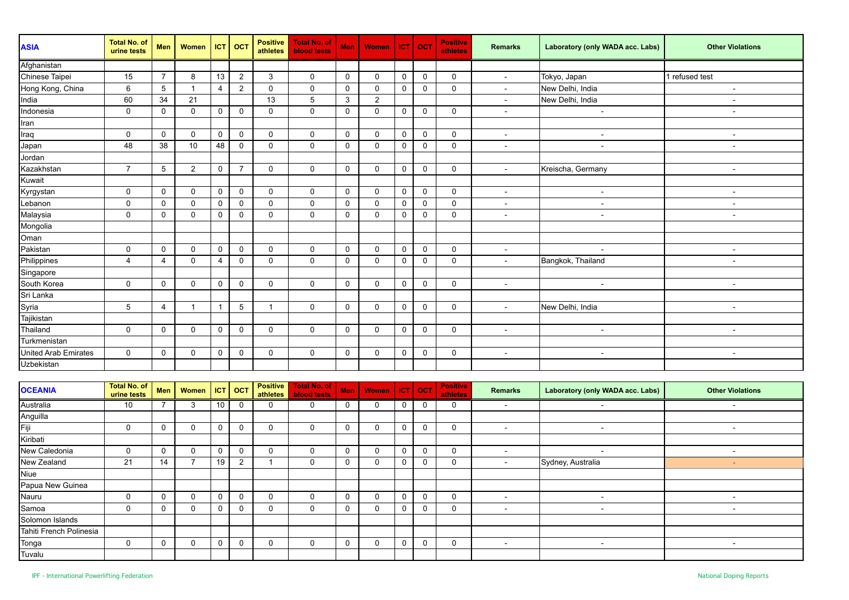| <b>ASIA</b>          | <b>Total No. of</b><br>urine tests | Men            | <b>Women</b>   | <b>ICT</b>     | <b>OCT</b>     | <b>Positive</b><br>athletes | Total No. of<br><b>blood tests</b> | <b>Men</b>   | <b>Women</b> |             | $ CT $ OCT  | <b>Positive</b><br>athletes | <b>Remarks</b> | Laboratory (only WADA acc. Labs) | <b>Other Violations</b>  |
|----------------------|------------------------------------|----------------|----------------|----------------|----------------|-----------------------------|------------------------------------|--------------|--------------|-------------|-------------|-----------------------------|----------------|----------------------------------|--------------------------|
| Afghanistan          |                                    |                |                |                |                |                             |                                    |              |              |             |             |                             |                |                                  |                          |
| Chinese Taipei       | 15                                 | $\overline{7}$ | 8              | 13             | 2              | $\mathbf{3}$                | $\mathbf 0$                        | $\mathbf 0$  | $\mathbf 0$  | $\mathbf 0$ | $\mathbf 0$ | $\mathbf 0$                 | $\sim$         | Tokyo, Japan                     | 1 refused test           |
| Hong Kong, China     | 6                                  | 5              | $\mathbf 1$    | $\overline{4}$ | $\overline{2}$ | 0                           | $\mathbf 0$                        | $\mathbf 0$  | $\mathbf 0$  | $\mathbf 0$ | 0           | $\mathbf 0$                 | $\sim$         | New Delhi, India                 |                          |
| India                | 60                                 | 34             | 21             |                |                | 13                          | 5                                  | 3            | 2            |             |             |                             | $\sim$         | New Delhi, India                 |                          |
| Indonesia            | $\mathbf 0$                        | $\mathbf 0$    | $\mathbf 0$    | 0              | $\mathbf 0$    | 0                           | $\mathbf 0$                        | 0            | $\mathbf 0$  | $\mathbf 0$ | $\Omega$    | $\Omega$                    | $\sim$         | $\sim$                           | $\overline{\phantom{a}}$ |
| Iran                 |                                    |                |                |                |                |                             |                                    |              |              |             |             |                             |                |                                  |                          |
| Iraq                 | $\mathbf{0}$                       | $\mathbf 0$    | $\mathbf 0$    | 0              | $\mathbf 0$    | 0                           | $\Omega$                           | $\Omega$     | $\mathbf 0$  | $\mathbf 0$ | $\Omega$    | $\mathbf{0}$                | $\sim$         | $\overline{\phantom{a}}$         | $\sim$                   |
| Japan                | 48                                 | 38             | 10             | 48             | $\mathbf 0$    | 0                           | $\mathbf{0}$                       | $\Omega$     | $\mathbf 0$  | $\mathbf 0$ | $\Omega$    | $\Omega$                    | $\sim$         | $\overline{\phantom{a}}$         |                          |
| Jordan               |                                    |                |                |                |                |                             |                                    |              |              |             |             |                             |                |                                  |                          |
| Kazakhstan           | $\overline{7}$                     | 5              | $\overline{2}$ | $\mathbf 0$    | $\overline{7}$ | 0                           | $\mathbf 0$                        | $\mathbf 0$  | $\mathbf 0$  | $\mathbf 0$ | $\mathbf 0$ | $\mathbf 0$                 | $\sim$         | Kreischa, Germany                |                          |
| Kuwait               |                                    |                |                |                |                |                             |                                    |              |              |             |             |                             |                |                                  |                          |
| Kyrgystan            | $\mathbf 0$                        | $\mathbf 0$    | $\mathbf 0$    | $\mathbf 0$    | $\mathbf 0$    | 0                           | $\mathbf 0$                        | $\mathbf 0$  | $\mathbf 0$  | $\mathbf 0$ | $\mathbf 0$ | $\mathbf 0$                 |                | $\overline{\phantom{a}}$         |                          |
| Lebanon              | $\mathbf 0$                        | $\mathbf 0$    | $\mathbf 0$    | 0              | 0              | $\mathbf 0$                 | $\mathbf 0$                        | 0            | $\mathbf 0$  | $\mathbf 0$ | $\Omega$    | $\mathbf 0$                 | $\sim$         | $\overline{\phantom{a}}$         | $\sim$                   |
| Malaysia             | $\mathbf 0$                        | $\mathbf 0$    | $\mathbf 0$    | $\mathbf 0$    | $\mathbf 0$    | 0                           | $\mathbf 0$                        | 0            | $\mathbf 0$  | $\mathbf 0$ | 0           | $\mathbf 0$                 | $\sim$         | $\sim$                           | $\sim$                   |
| Mongolia             |                                    |                |                |                |                |                             |                                    |              |              |             |             |                             |                |                                  |                          |
| Oman                 |                                    |                |                |                |                |                             |                                    |              |              |             |             |                             |                |                                  |                          |
| Pakistan             | $\mathbf 0$                        | $\mathbf 0$    | $\Omega$       | $\mathbf 0$    | $\mathbf 0$    | $\mathbf 0$                 | $\Omega$                           | $\mathbf{0}$ | $\mathbf 0$  | $\mathbf 0$ | $\Omega$    | $\mathbf{0}$                | $\sim$         |                                  | $\sim$                   |
| Philippines          | $\overline{4}$                     | 4              | $\mathbf 0$    | 4              | $\mathbf 0$    | 0                           | $\mathbf 0$                        | $\mathbf 0$  | $\mathbf 0$  | $\mathbf 0$ | $\Omega$    | $\mathbf 0$                 | $\sim$         | Bangkok, Thailand                | $\sim$                   |
| Singapore            |                                    |                |                |                |                |                             |                                    |              |              |             |             |                             |                |                                  |                          |
| South Korea          | $\mathsf{O}$                       | $\mathbf 0$    | $\mathbf 0$    | $\mathbf 0$    | 0              | $\mathsf{O}$                | $\mathbf{0}$                       | 0            | $\mathsf{O}$ | $\mathbf 0$ | $\mathbf 0$ | $\mathbf 0$                 | $\sim$         | $\sim$                           | $\sim$                   |
| Sri Lanka            |                                    |                |                |                |                |                             |                                    |              |              |             |             |                             |                |                                  |                          |
| Syria                | 5                                  | $\overline{4}$ | -1             | $\mathbf{1}$   | 5              |                             | $\mathbf 0$                        | 0            | $\mathbf 0$  | $\mathbf 0$ | 0           | $\mathbf 0$                 | $\sim$         | New Delhi, India                 | $\sim$                   |
| Tajikistan           |                                    |                |                |                |                |                             |                                    |              |              |             |             |                             |                |                                  |                          |
| Thailand             | $\mathbf 0$                        | $\mathbf 0$    | 0              | $\mathbf 0$    | $\mathbf 0$    | 0                           | $\mathbf 0$                        | $\mathbf 0$  | $\mathbf 0$  | $\mathbf 0$ | $\Omega$    | $\Omega$                    | $\sim$         | $\sim$                           | $\sim$                   |
| Turkmenistan         |                                    |                |                |                |                |                             |                                    |              |              |             |             |                             |                |                                  |                          |
| United Arab Emirates | $\mathbf 0$                        | $\mathbf 0$    | $\mathbf 0$    | $\mathbf 0$    | 0              | 0                           | $\mathbf 0$                        | 0            | $\mathbf 0$  | $\mathbf 0$ | 0           | $\mathbf 0$                 | $\sim$         | $\sim$                           | $\sim$                   |
| Uzbekistan           |                                    |                |                |                |                |                             |                                    |              |              |             |             |                             |                |                                  |                          |

| <b>OCEANIA</b>          | <b>Total No. of</b><br>urine tests | Men      | Women |    | $ $ ICT $ $ OCT | <b>Positive</b><br>athletes | Total No. of<br><b>blood tests</b> | <b>Men</b> | <b>Women</b> | $ $ ICT $ $ OCT | <b>Positive</b><br>athletes | Remarks                  | Laboratory (only WADA acc. Labs) | <b>Other Violations</b> |
|-------------------------|------------------------------------|----------|-------|----|-----------------|-----------------------------|------------------------------------|------------|--------------|-----------------|-----------------------------|--------------------------|----------------------------------|-------------------------|
| Australia               | 10                                 |          | 3     | 10 | $\Omega$        |                             |                                    | 0          | 0            | 0               |                             | $\overline{a}$           |                                  |                         |
| Anguilla                |                                    |          |       |    |                 |                             |                                    |            |              |                 |                             |                          |                                  |                         |
| Fiji                    | 0                                  | 0        | 0     |    |                 | 0                           | 0                                  | $\Omega$   | 0            | $\mathbf{0}$    |                             | $\overline{\phantom{0}}$ | $\overline{\phantom{a}}$         |                         |
| Kiribati                |                                    |          |       |    |                 |                             |                                    |            |              |                 |                             |                          |                                  |                         |
| New Caledonia           | 0                                  | - 0      | 0     |    |                 | 0                           | $\Omega$                           | 0          | 0            | $\mathbf 0$     |                             | $\overline{\phantom{0}}$ | $\overline{\phantom{0}}$         |                         |
| New Zealand             | 21                                 | 14       |       | 19 | $\overline{2}$  |                             | 0                                  | 0          | 0            | 0               |                             | $\sim$                   | Sydney, Australia                |                         |
| Niue                    |                                    |          |       |    |                 |                             |                                    |            |              |                 |                             |                          |                                  |                         |
| Papua New Guinea        |                                    |          |       |    |                 |                             |                                    |            |              |                 |                             |                          |                                  |                         |
| Nauru                   | 0                                  | $\Omega$ | 0     |    |                 | 0                           | 0                                  | 0          | 0            | $\mathbf 0$     |                             | $\overline{\phantom{0}}$ |                                  |                         |
| Samoa                   | 0                                  | 0        | 0     |    |                 |                             | 0                                  | 0          | 0            | $\Omega$        |                             | $\overline{\phantom{0}}$ |                                  |                         |
| Solomon Islands         |                                    |          |       |    |                 |                             |                                    |            |              |                 |                             |                          |                                  |                         |
| Tahiti French Polinesia |                                    |          |       |    |                 |                             |                                    |            |              |                 |                             |                          |                                  |                         |
| Tonga                   | $\mathbf{0}$                       | $\Omega$ | 0     |    | U               | 0                           | 0                                  | $\Omega$   | 0            | $\mathbf{0}$    | 0                           | $\overline{\phantom{0}}$ |                                  |                         |
| Tuvalu                  |                                    |          |       |    |                 |                             |                                    |            |              |                 |                             |                          |                                  |                         |